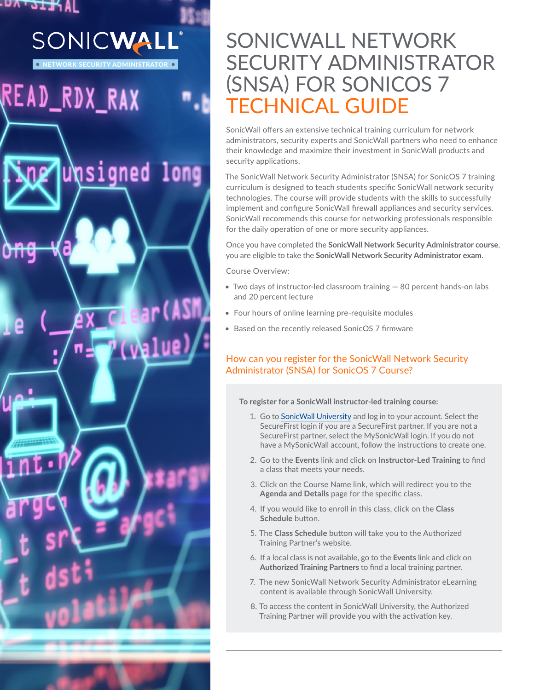# AI א<del>נו</del>ט יאט. SONICWALL

READ\_RDX\_RAX

NETWORK SECURITY ADMINISTRATOR

unsigned long

(ASM

# SONICWALL NETWORK SECURITY ADMINISTRATOR (SNSA) FOR SONICOS 7 TECHNICAL GUIDE

SonicWall offers an extensive technical training curriculum for network administrators, security experts and SonicWall partners who need to enhance their knowledge and maximize their investment in SonicWall products and security applications.

The SonicWall Network Security Administrator (SNSA) for SonicOS 7 training curriculum is designed to teach students specific SonicWall network security technologies. The course will provide students with the skills to successfully implement and configure SonicWall firewall appliances and security services. SonicWall recommends this course for networking professionals responsible for the daily operation of one or more security appliances.

Once you have completed the **SonicWall Network Security Administrator course**, you are eligible to take the **SonicWall Network Security Administrator exam**.

Course Overview:

- Two days of instructor-led classroom training 80 percent hands-on labs and 20 percent lecture
- Four hours of online learning pre-requisite modules
- Based on the recently released SonicOS 7 firmware

## How can you register for the SonicWall Network Security Administrator (SNSA) for SonicOS 7 Course?

#### **To register for a SonicWall instructor-led training course:**

- 1. Go to [SonicWall University](https://www.sonicwalluniversity.com/) and log in to your account. Select the SecureFirst login if you are a SecureFirst partner. If you are not a SecureFirst partner, select the MySonicWall login. If you do not have a MySonicWall account, follow the instructions to create one.
- 2. Go to the **Events** link and click on **Instructor-Led Training** to find a class that meets your needs.
- 3. Click on the Course Name link, which will redirect you to the **Agenda and Details** page for the specific class.
- 4. If you would like to enroll in this class, click on the **Class Schedule** button.
- 5. The **Class Schedule** button will take you to the Authorized Training Partner's website.
- 6. If a local class is not available, go to the **Events** link and click on **Authorized Training Partners** to find a local training partner.
- 7. The new SonicWall Network Security Administrator eLearning content is available through SonicWall University.
- 8. To access the content in SonicWall University, the Authorized Training Partner will provide you with the activation key.